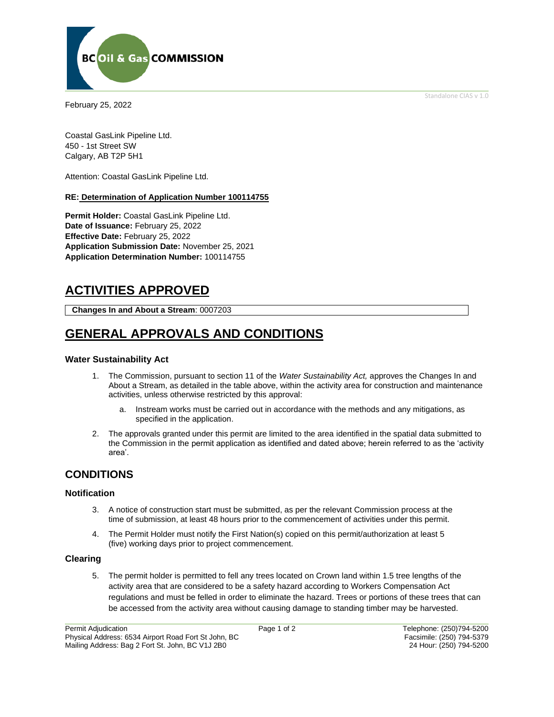Standalone CIAS v 1.0



February 25, 2022

Coastal GasLink Pipeline Ltd. 450 - 1st Street SW Calgary, AB T2P 5H1

Attention: Coastal GasLink Pipeline Ltd.

### **RE: Determination of Application Number 100114755**

**Permit Holder:** Coastal GasLink Pipeline Ltd. **Date of Issuance:** February 25, 2022 **Effective Date:** February 25, 2022 **Application Submission Date:** November 25, 2021 **Application Determination Number:** 100114755

# **ACTIVITIES APPROVED**

**Changes In and About a Stream**: 0007203

# **GENERAL APPROVALS AND CONDITIONS**

### **Water Sustainability Act**

- 1. The Commission, pursuant to section 11 of the *Water Sustainability Act,* approves the Changes In and About a Stream, as detailed in the table above, within the activity area for construction and maintenance activities, unless otherwise restricted by this approval:
	- a. Instream works must be carried out in accordance with the methods and any mitigations, as specified in the application.
- 2. The approvals granted under this permit are limited to the area identified in the spatial data submitted to the Commission in the permit application as identified and dated above; herein referred to as the 'activity area'.

## **CONDITIONS**

### **Notification**

- 3. A notice of construction start must be submitted, as per the relevant Commission process at the time of submission, at least 48 hours prior to the commencement of activities under this permit.
- 4. The Permit Holder must notify the First Nation(s) copied on this permit/authorization at least 5 (five) working days prior to project commencement.

### **Clearing**

5. The permit holder is permitted to fell any trees located on Crown land within 1.5 tree lengths of the activity area that are considered to be a safety hazard according to Workers Compensation Act regulations and must be felled in order to eliminate the hazard. Trees or portions of these trees that can be accessed from the activity area without causing damage to standing timber may be harvested.